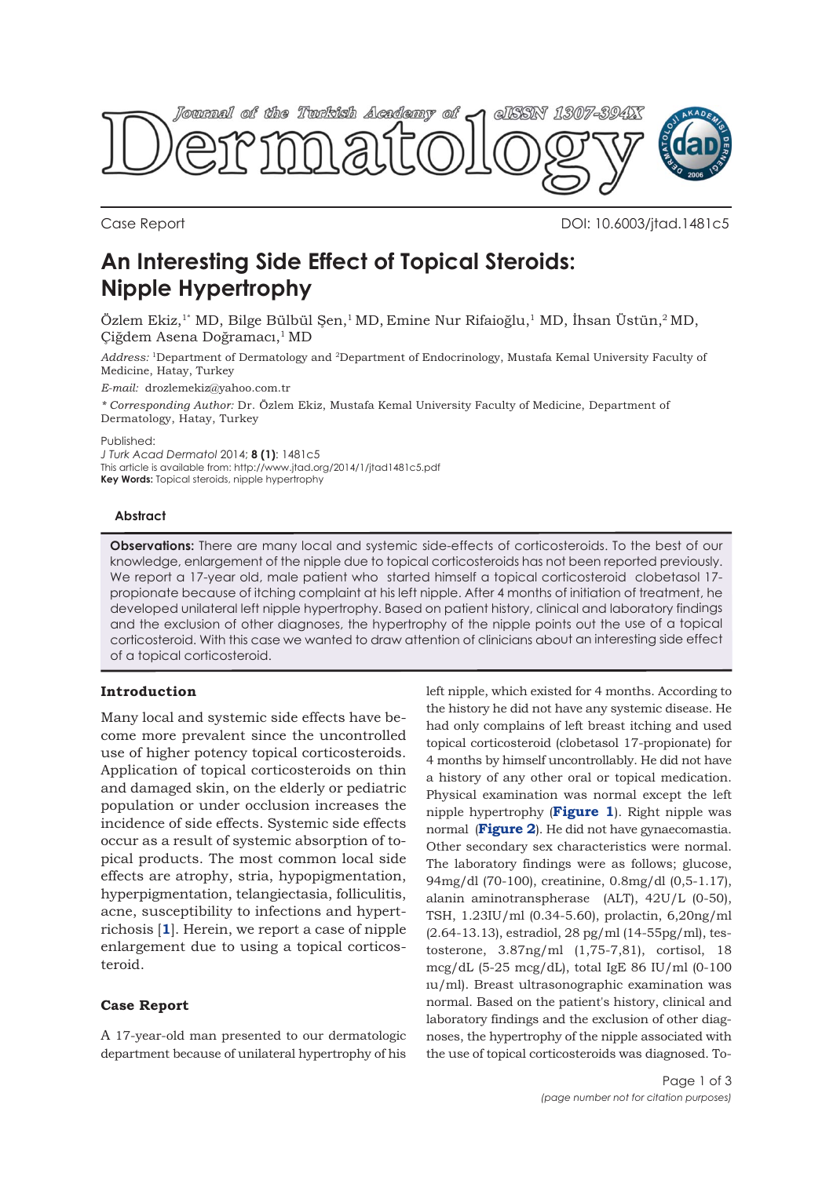

Case Report DOI: 10.6003/jtad.1481c5

# **An Interesting Side Effect of Topical Steroids: Nipple Hypertrophy**

Özlem Ekiz,1\* MD, Bilge Bülbül Şen,1 MD, Emine Nur Rifaioğlu,1 MD, İhsan Üstün,2 MD, Çiğdem Asena Doğramacı,1 MD

*Address:* 1Department of Dermatology and 2Department of Endocrinology, Mustafa Kemal University Faculty of Medicine, Hatay, Turkey

*E-mail:* drozlemekiz@yahoo.com.tr

*\* Corresponding Author:* Dr. Özlem Ekiz, Mustafa Kemal University Faculty of Medicine, Department of Dermatology, Hatay, Turkey

Published:

*J Turk Acad Dermatol* 2014; **8 (1)**: 1481c5 This article is available from: http://www.jtad.org/2014/1/jtad1481c5.pdf **Key Words:** Topical steroids, nipple hypertrophy

#### **Abstract**

**Observations:** There are many local and systemic side-effects of corticosteroids. To the best of our knowledge, enlargement of the nipple due to topical corticosteroids has not been reported previously. We report a 17-year old, male patient who started himself a topical corticosteroid clobetasol 17propionate because of itching complaint at his left nipple. After 4 months of initiation of treatment, he developed unilateral left nipple hypertrophy. Based on patient history, clinical and laboratory findings and the exclusion of other diagnoses, the hypertrophy of the nipple points out the use of a topical corticosteroid. With this case we wanted to draw attention of clinicians about an interesting side effect of a topical corticosteroid.

## **Introduction**

Many local and systemic side effects have become more prevalent since the uncontrolled use of higher potency topical corticosteroids. Application of topical corticosteroids on thin and damaged skin, on the elderly or pediatric population or under occlusion increases the incidence of side effects. Systemic side effects occur as a result of systemic absorption of topical products. The most common local side effects are atrophy, stria, hypopigmentation, hyperpigmentation, telangiectasia, folliculitis, acne, susceptibility to infections and hypertrichosis [**1**]. Herein, we report a case of nipple enlargement due to using a topical corticosteroid.

### **Case Report**

A 17-year-old man presented to our dermatologic department because of unilateral hypertrophy of his left nipple, which existed for 4 months. According to the history he did not have any systemic disease. He had only complains of left breast itching and used topical corticosteroid (clobetasol 17-propionate) for 4 months by himself uncontrollably. He did not have a history of any other oral or topical medication. Physical examination was normal except the left nipple hypertrophy (**Figure 1**). Right nipple was normal (**Figure 2**). He did not have gynaecomastia. Other secondary sex characteristics were normal. The laboratory findings were as follows; glucose, 94mg/dl (70-100), creatinine, 0.8mg/dl (0,5-1.17), alanin aminotranspherase (ALT), 42U/L (0-50), TSH, 1.23IU/ml (0.34-5.60), prolactin, 6,20ng/ml (2.64-13.13), estradiol, 28 pg/ml (14-55pg/ml), testosterone, 3.87ng/ml (1,75-7,81), cortisol, 18 mcg/dL (5-25 mcg/dL), total IgE 86 IU/ml (0-100 ıu/ml). Breast ultrasonographic examination was normal. Based on the patient's history, clinical and laboratory findings and the exclusion of other diagnoses, the hypertrophy of the nipple associated with the use of topical corticosteroids was diagnosed. To-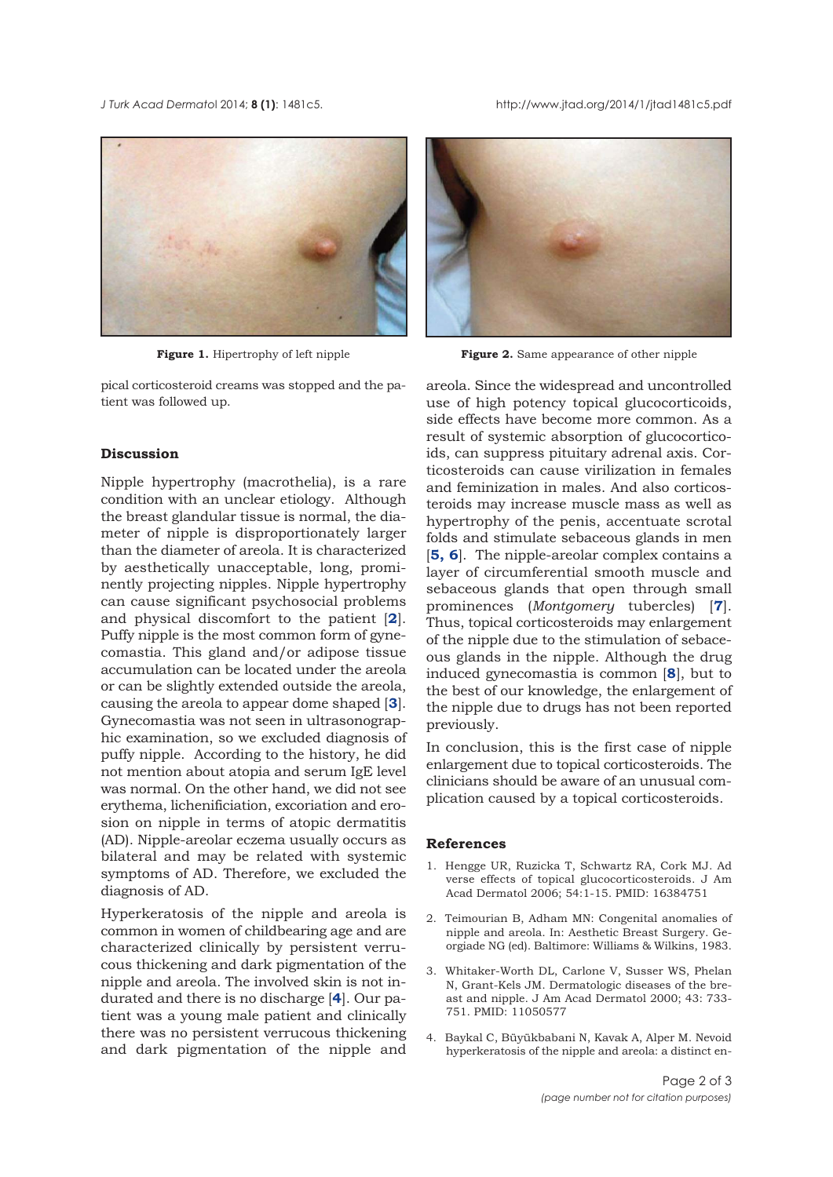*J Turk Acad Dermato*l 2014; **8 (1)**: 1481c5. http://www.jtad.org/2014/1/jtad1481c5.pdf



pical corticosteroid creams was stopped and the patient was followed up.

### **Discussion**

Nipple hypertrophy (macrothelia), is a rare condition with an unclear etiology. Although the breast glandular tissue is normal, the diameter of nipple is disproportionately larger than the diameter of areola. It is characterized by aesthetically unacceptable, long, prominently projecting nipples. Nipple hypertrophy can cause significant psychosocial problems and physical discomfort to the patient [**2**]. Puffy nipple is the most common form of gynecomastia. This gland and/or adipose tissue accumulation can be located under the areola or can be slightly extended outside the areola, causing the areola to appear dome shaped [**3**]. Gynecomastia was not seen in ultrasonographic examination, so we excluded diagnosis of puffy nipple. According to the history, he did not mention about atopia and serum IgE level was normal. On the other hand, we did not see erythema, lichenificiation, excoriation and erosion on nipple in terms of atopic dermatitis (AD). Nipple-areolar eczema usually occurs as bilateral and may be related with systemic symptoms of AD. Therefore, we excluded the diagnosis of AD.

Hyperkeratosis of the nipple and areola is common in women of childbearing age and are characterized clinically by persistent verrucous thickening and dark pigmentation of the nipple and areola. The involved skin is not indurated and there is no discharge [**4**]. Our patient was a young male patient and clinically there was no persistent verrucous thickening and dark pigmentation of the nipple and



**Figure 1.** Hipertrophy of left nipple **Figure 2.** Same appearance of other nipple

areola. Since the widespread and uncontrolled use of high potency topical glucocorticoids, side effects have become more common. As a result of systemic absorption of glucocorticoids, can suppress pituitary adrenal axis. Corticosteroids can cause virilization in females and feminization in males. And also corticosteroids may increase muscle mass as well as hypertrophy of the penis, accentuate scrotal folds and stimulate sebaceous glands in men [**5, 6**]. The nipple-areolar complex contains a layer of circumferential smooth muscle and sebaceous glands that open through small prominences (*Montgomery* tubercles) [**7**]. Thus, topical corticosteroids may enlargement of the nipple due to the stimulation of sebaceous glands in the nipple. Although the drug induced gynecomastia is common [**8**], but to the best of our knowledge, the enlargement of the nipple due to drugs has not been reported previously.

In conclusion, this is the first case of nipple enlargement due to topical corticosteroids. The clinicians should be aware of an unusual complication caused by a topical corticosteroids.

#### **References**

- 1. Hengge UR, Ruzicka T, Schwartz RA, Cork MJ. Ad verse effects of topical glucocorticosteroids. J Am Acad Dermatol 2006; 54:1-15. PMID: 16384751
- 2. Teimourian B, Adham MN: Congenital anomalies of nipple and areola. In: Aesthetic Breast Surgery. Georgiade NG (ed). Baltimore: Williams & Wilkins, 1983.
- 3. Whitaker-Worth DL, Carlone V, Susser WS, Phelan N, Grant-Kels JM. Dermatologic diseases of the breast and nipple. J Am Acad Dermatol 2000; 43: 733- 751. PMID: 11050577
- 4. Baykal C, Büyükbabani N, Kavak A, Alper M. Nevoid hyperkeratosis of the nipple and areola: a distinct en-